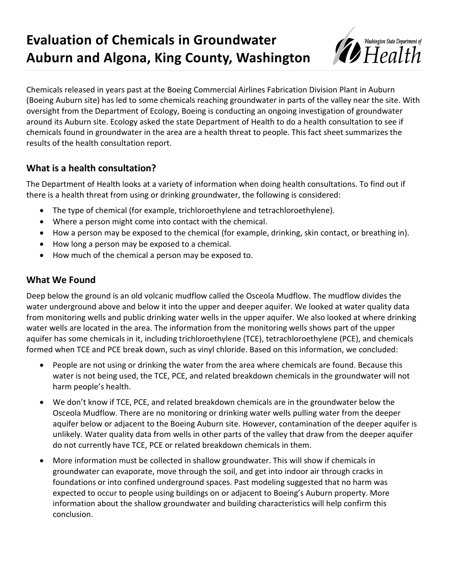# **Evaluation of Chemicals in Groundwater Auburn and Algona, King County, Washington**



Chemicals released in years past at the Boeing Commercial Airlines Fabrication Division Plant in Auburn (Boeing Auburn site) has led to some chemicals reaching groundwater in parts of the valley near the site. With oversight from the Department of Ecology, Boeing is conducting an ongoing investigation of groundwater around its Auburn site. Ecology asked the state Department of Health to do a health consultation to see if chemicals found in groundwater in the area are a health threat to people. This fact sheet summarizes the results of the health consultation report.

# **What is a health consultation?**

The Department of Health looks at a variety of information when doing health consultations. To find out if there is a health threat from using or drinking groundwater, the following is considered:

- The type of chemical (for example, trichloroethylene and tetrachloroethylene).
- Where a person might come into contact with the chemical.
- How a person may be exposed to the chemical (for example, drinking, skin contact, or breathing in).
- How long a person may be exposed to a chemical.
- How much of the chemical a person may be exposed to.

#### **What We Found**

Deep below the ground is an old volcanic mudflow called the Osceola Mudflow. The mudflow divides the water underground above and below it into the upper and deeper aquifer. We looked at water quality data from monitoring wells and public drinking water wells in the upper aquifer. We also looked at where drinking water wells are located in the area. The information from the monitoring wells shows part of the upper aquifer has some chemicals in it, including trichloroethylene (TCE), tetrachloroethylene (PCE), and chemicals formed when TCE and PCE break down, such as vinyl chloride. Based on this information, we concluded:

- People are not using or drinking the water from the area where chemicals are found. Because this water is not being used, the TCE, PCE, and related breakdown chemicals in the groundwater will not harm people's health.
- We don't know if TCE, PCE, and related breakdown chemicals are in the groundwater below the Osceola Mudflow. There are no monitoring or drinking water wells pulling water from the deeper aquifer below or adjacent to the Boeing Auburn site. However, contamination of the deeper aquifer is unlikely. Water quality data from wells in other parts of the valley that draw from the deeper aquifer do not currently have TCE, PCE or related breakdown chemicals in them.
- More information must be collected in shallow groundwater. This will show if chemicals in groundwater can evaporate, move through the soil, and get into indoor air through cracks in foundations or into confined underground spaces. Past modeling suggested that no harm was expected to occur to people using buildings on or adjacent to Boeing's Auburn property. More information about the shallow groundwater and building characteristics will help confirm this conclusion.